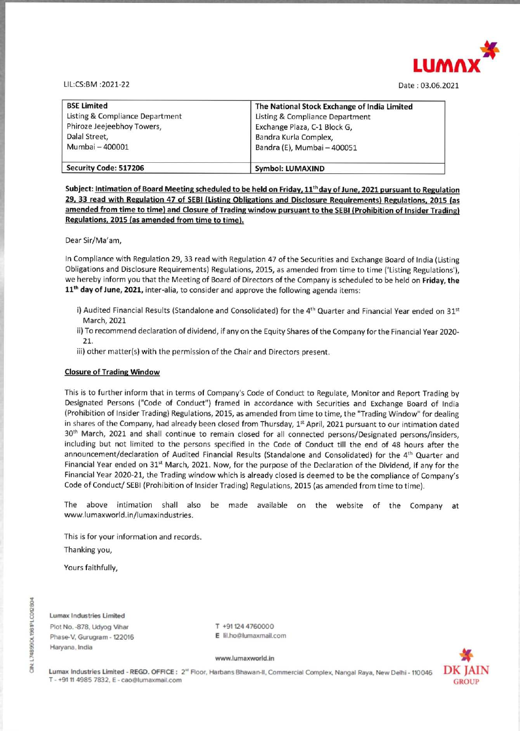

Date : 03.06.2021

|                                             | LUM                                                   |
|---------------------------------------------|-------------------------------------------------------|
| LIL:CS:BM :2021-22                          | Date: 03.06.20                                        |
| <b>BSE Limited</b>                          | The National Stock Exchange of India Limited          |
| Listing & Compliance Department             | Listing & Compliance Department                       |
| Phiroze Jeejeebhoy Towers,<br>Dalal Street, | Exchange Plaza, C-1 Block G,<br>Bandra Kurla Complex, |
| Mumbai - 400001                             | Bandra (E), Mumbai - 400051                           |
| Security Code: 517206                       | <b>Symbol: LUMAXIND</b>                               |

Subject: Intimation of Board Meeting scheduled to be held on Friday, 11<sup>th</sup> day of June, 2021 pursuant to Regulation 29, 33 read with Regulation 47 of SEBI (Listing Obligations and Disclosure Requirements) Regulations, 2015 (as Regulations, 2015 (as amended from time to time).

In Compliance with Regulation 29, 33 read with Regulation 47 of the Securities and Exchange Board of India (Listing Obligations and Disclosure Requirements) Regulations, 2015, as amended from time to time ('Listing Regulations'), we hereby inform you that the Meeting of Board of Directors of the Company is scheduled to be held on Friday, the 11<sup>th</sup> day of June, 2021, inter-alia, to consider and approve the following agenda items:

Dear Sir/Ma'am,

- i) Audited Financial Results (Standalone and Consolidated) for the 4<sup>th</sup> Quarter and Financial Year ended on 31<sup>st</sup> March, 2021
- ii) To recommend declaration of dividend, if any on the Equity Shares of the Company for the Financial Year 2020- 21.
- iii) other matter(s) with the permission of the Chair and Directors present.

**Regulations, 2015 (as amended from time to thine).**<br>
Dear Sir/Ma'am,<br>
In Compliance with Regulation 29, 33 read with Regulations, and Disclosure Requirements) Regulations, 2004 Obligations and Disclosure Requirements) Re 21.<br>
iii) other matter(s) with the permission of the Chair an<br> **Closure of Trading Window**<br> **Closure of Trading Window**<br>
This is to further inform that in terms of Company's Code<br>
Designated Persons ("Code of Conduct") fr This is to further inform that in terms of Company's Code of Conduct to Regulate, Monitor and Report Trading by Designated Persons ("Code of Conduct") framed in accordance with Securities and Exchange Board of India (Prohibition of Insider Trading) Regulations, 2015, as amended from time to time, the "Trading Window" for dealing in shares of the Company, had already been closed from Thursday, 1<sup>st</sup> April, 2021 pursuant to our intimation dated 30<sup>th</sup> March, 2021 and shall continue to remain closed for all connected persons/Designated persons/insiders, including but not limited to the persons specified in the Code of Conduct till the end of 48 hours after the announcement/declaration of Audited Financial Results (Standalone and Consolidated) for the 4<sup>th</sup> Quarter and Financial Year ended on 31<sup>st</sup> March, 2021. Now, for the purpose of the Declaration of the Dividend, if any for the Financial Year 2020-21, the Trading window which is already closed is deemed to be the compliance of Company's Code of Conduct/ SEBI (Prohibition of Insider Trading) Regulations, 2015 (as amended from time to time).

## Closure of Trading Window

Lumax Industries Limited - REGD. OFFICE: 2<sup>w</sup> Floor, Harbans Bhawan-II, Commercial Complex, Nangal Raya, New Delhi - 110046 T - +91 11 4985 7832, E - cao@lumaxmail.com

The above intimation shall also be made available on the website of the Company at www.lumaxworld.in/lumaxindustries.

This is for your information and records.

Thanking you,

Yours faithfully,

Lumax Industries Limited

Plot No. -878, Udyog Vihar Phase-V, Gurugram - 122016 Haryana, India

T +91124 4760000 E lilho@lumaxmail.com

## www. lumaxworld.in